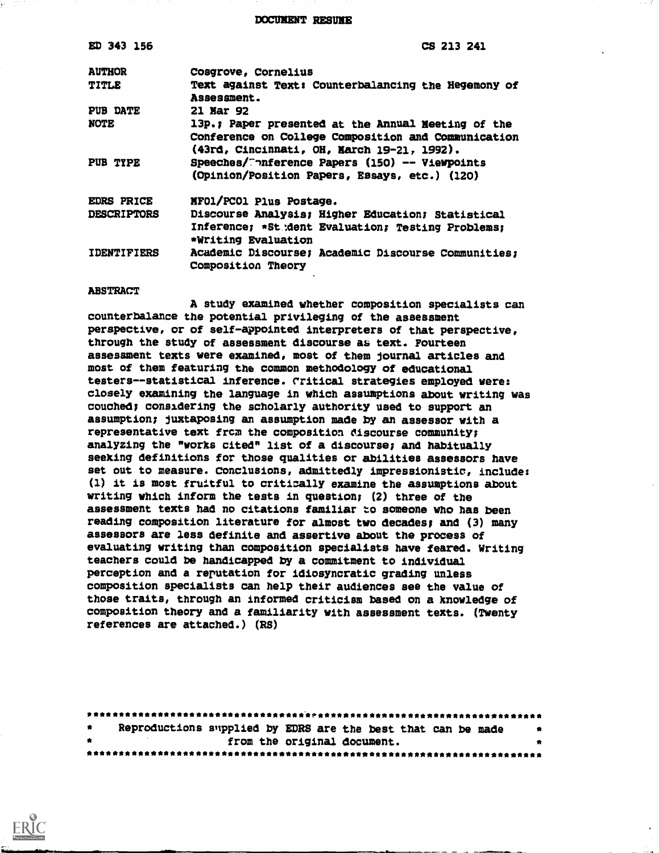DOCUNENT RESUME

| ED 343 156         | CS 213 241                                                                                                                                              |
|--------------------|---------------------------------------------------------------------------------------------------------------------------------------------------------|
| <b>AUTHOR</b>      | Cosgrove, Cornelius                                                                                                                                     |
| <b>TITLE</b>       | Text against Text: Counterbalancing the Hegemony of<br>Assessment.                                                                                      |
| PUB DATE           | <b>21 Mar 92</b>                                                                                                                                        |
| <b>NOTE</b>        | 13p.; Paper presented at the Annual Meeting of the<br>Conference on College Composition and Communication<br>(43rd, Cincinnati, OH, March 19-21, 1992). |
| PUB TYPE           | Speeches/Conference Papers (150) -- Viewpoints<br>(Opinion/Position Papers, Essays, etc.) (120)                                                         |
| <b>EDRS PRICE</b>  | MF01/PC01 Plus Postage.                                                                                                                                 |
| <b>DESCRIPTORS</b> | Discourse Analysis; Higher Education; Statistical                                                                                                       |
|                    | Inference; *St dent Evaluation; Testing Problems;<br>*Writing Evaluation                                                                                |
| <b>IDENTIFIERS</b> | Academic Discourse; Academic Discourse Communities;<br>Composition Theory                                                                               |

#### ABSTRACT

A study examined whether composition specialists can counterbalance the potential privileging of the assessment perspective, or of self-appointed interpreters of that perspective, through the study of assessment discourse as text. Fourteen assesament texts were examined, most of them journal articles and most of them featuring the common methodology of educational testers--statistical inference. rritical strategies employed were: closely examining the language in which assumptions about writing was couched; considering the scholarly authority used to support an assumption; juxtaposing an assumption made by an assessor with a representative text from the composition discourse community; analyzing the "works cited" list of a discourse; and habitually seeking definitions for those qualities or abilities assessors have set out to measure. Conclusions, admittedly impressionistic, include: (1) it is most fruitful to critically examine the assumptions about writing which inform the tests in question; (2) three of the assessment texts had no citations familiar to someone who has been reading composition literature for almost two decades; and (3) many assessors are less definite and assertive about the process of evaluating writing than composition specialists have feared. Writing teachers could be handicapped by a commitment to individual perception and a reputation for idiosyncratic grading unless composition specialists can help their audiences see the value of those traits, through an informed criticism based on a knowledge of composition theory and a familiarity with assessment texts. (Twenty references are attached.) (RS)

| 會.        |  | Reproductions supplied by EDRS are the best that can be made             |  |
|-----------|--|--------------------------------------------------------------------------|--|
| $\bullet$ |  | from the original document.                                              |  |
|           |  | 我我我在我去自我去自我在我在我去去自我去自我去自我去自我去自我去自我去自我去自我去自我去自我去自我在自我去去自我去自我去自我去自我去自我去自我去 |  |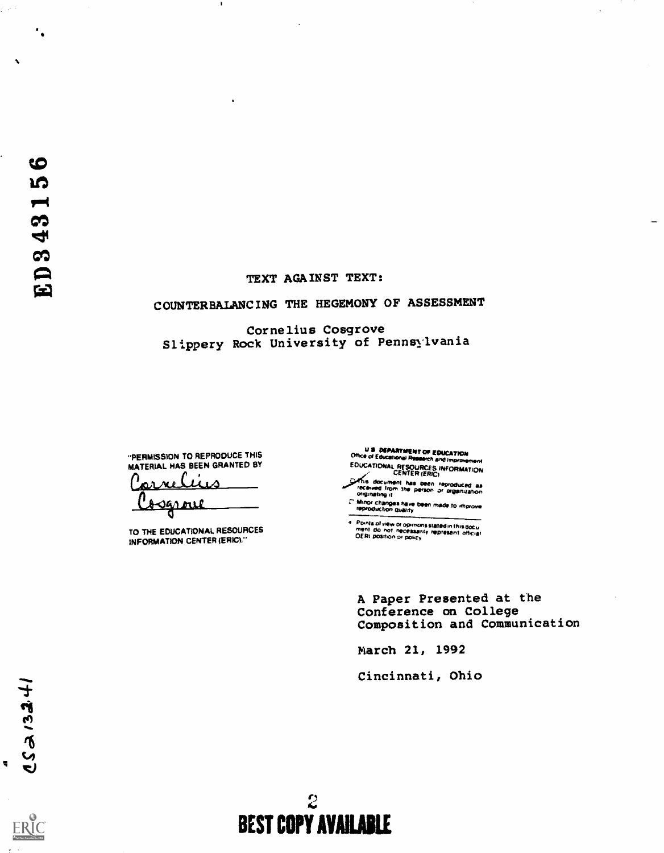$\ddot{\phantom{a}}$  .

## TEXT AGAINST TEXT:

# COUNTERBALANCING THE HEGEMOYY OF ASSESSMENT

# Cornelius Cosgrove Slippery Rock University of Pennsylvania

"PERMISSION TO REPRODUCE THIS MATERIAL HAS BEEN GRANTED BY

<u>ی،</u> <u>Cogrove</u>

TO THE EDUCATIONAL RESOURCES INFORMATION CENTER (ERIC)."

U S. DEPARTMENT OF EOUCATION<br>Office of Educations: Passarch and Improver EDUCATIONAL RESOURCES INFORMATION

CENTER (ERIC)<br>Is document has been reproduced as<br>originating it

r who who was been made to improve<br>\* hinny changes have been made to improve

Points of view or opinions stated in this document of one necessarily represent official<br>Internation of necessarily represent official

A Paper Presented at the Conference on College Composition and Communication

March 21, 1992

Cincinnati, Ohio

ERIC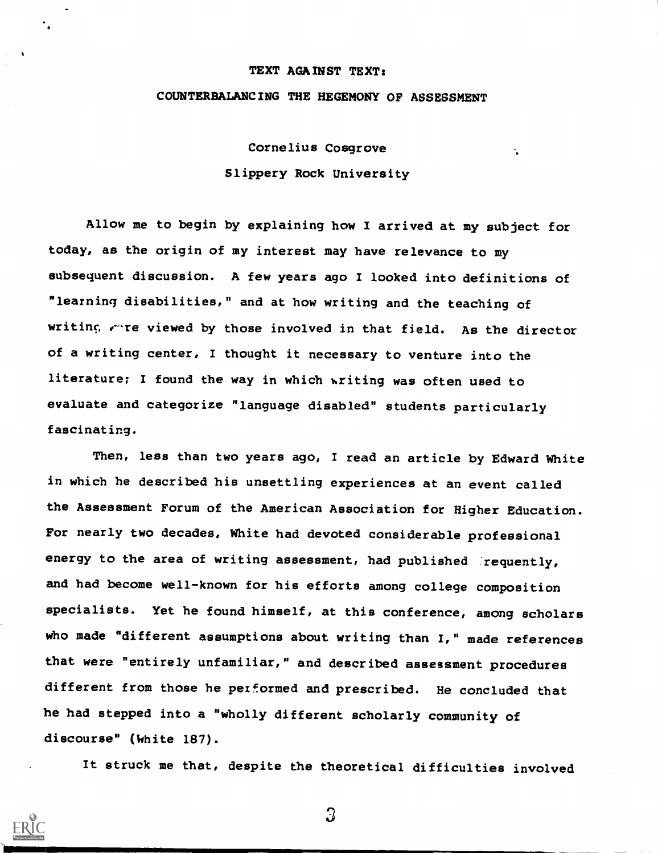#### TEXT AGAINST TEXT:

## COUNTERBALANCING THE HEGEMONY OF ASSESSMENT

Cornelius Cosgrove Slippery Rock University

 $\ddot{\phantom{a}}$ 

Allow me to begin by explaining how I arrived at my subject for today, as the origin of my interest may have relevance to my subsequent discussion. A few years ago I looked into definitions of "learning disabilities," and at how writing and the teaching of writing, where viewed by those involved in that field. As the director of a writing center, I thought it necessary to venture into the literature; I found the way in which writing was often used to evaluate and categorize "language disabled" students particularly fascinating.

Then, less than two years ago, I read an article by Edward White in which he described his unsettling experiences at an event called the Assessment Forum of the American Association for Higher Education. For nearly two decades, White had devoted considerable professional energy to the area of writing assessment, had published requently, and had become well-known for his efforts among college composition specialists. Yet he found himself, at this conference, among scholars who made "different assumptions about writing than I," made references that were "entirely unfamiliar," and described assessment procedures different from those he performed and prescribed. He concluded that he had stepped into a "wholly different scholarly community of discourse" (White 187).

It struck me that, despite the theoretical difficulties involved

 $\overline{3}$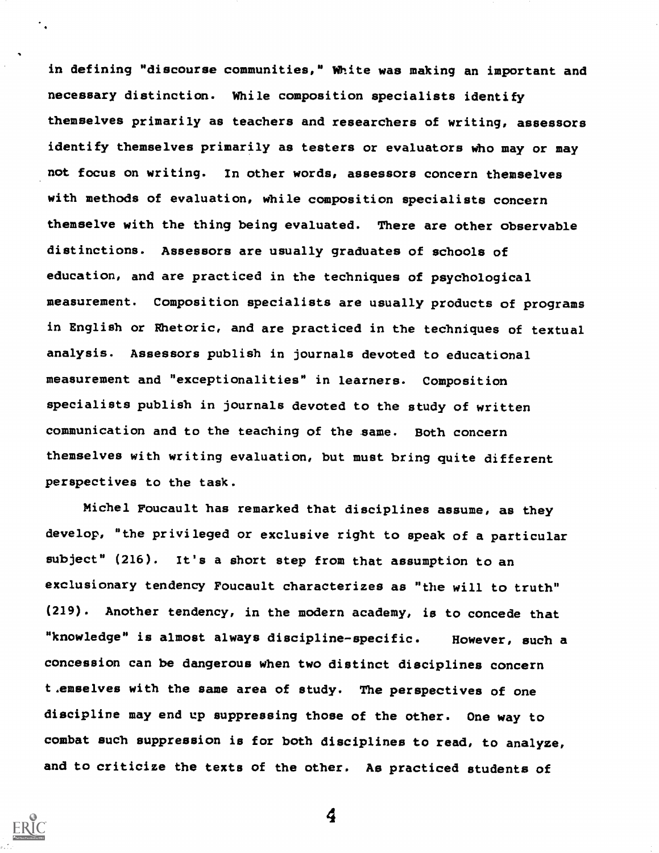in defining "discourse communities," White was making an important and necessary distinction. While composition specialists identify themselves primarily as teachers and researchers of writing, assessors identify themselves primarily as testers or evaluators who may or may not focus on writing. In other words, assessors concern themselves with methods of evaluation, While composition specialists concern themselve with the thing being evaluated. There are other observable distinctions. Assessors are usually graduates of schools of education, and are practiced in the techniques of psychological measurement. Composition specialists are usually products of programs in English or Rhetoric, and are practiced in the techniques of textual analysis. Assessors publish in journals devoted to educational measurement and "exceptionalities" in learners. Composition specialists publish in journals devoted to the study of written communication and to the teaching of the same. Both concern themselves with writing evaluation, but must bring quite different perspectives to the task.

Michel Foucault has remarked that disciplines assume, as they develop, "the privileged or exclusive right to speak of a particular subject" (216). It's a short step from that assumption to an exclusionary tendency Foucault characterizes as "the will to truth" (219). Another tendency, in the modern academy, is to concede that "knowledge" is almost always discipline-specific. However, such a concession can be dangerous when two distinct disciplines concern t,emselves with the same area of study. The perspectives of one discipline may end up suppressing those of the other. One way to combat such suppression is for both disciplines to read, to analyze, and to criticize the texts of the other. As practiced students of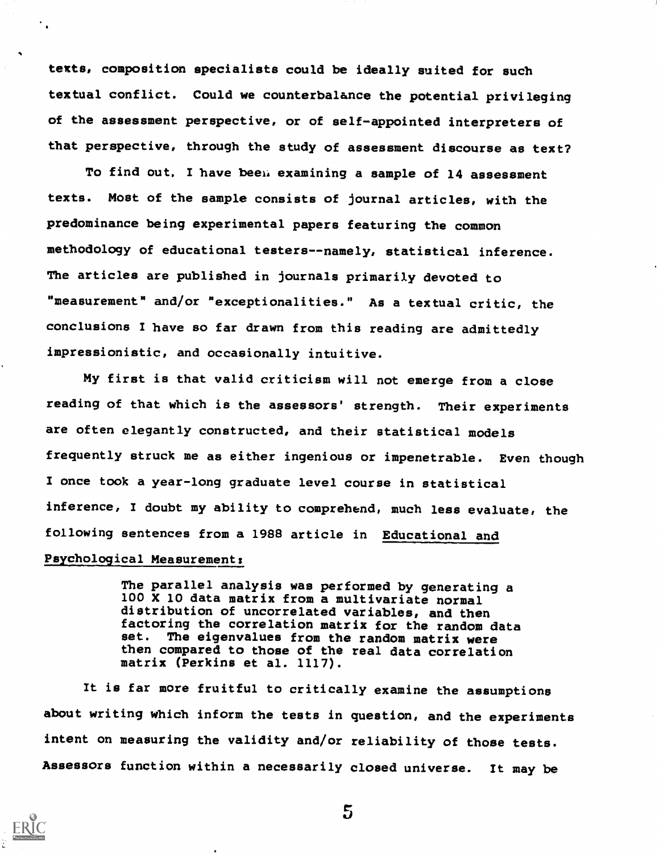texts, composition specialists could be ideally suited for such textual conflict. Could we counterbalance the potential privileging of the assessment perspective, or of self-appointed interpreters of that perspective, through the study of assessment discourse as text?

To find out, I have been examining a sample of 14 assessment texts. Most of the sample consists of journal articles, with the predominance being experimental papers featuring the common methodology of educational testers--namely, statistical inference. The articles are published in journals primarily devoted to "measurement" and/or "exceptionalities." As a textual critic, the conclusions I have so far drawn from this reading are admittedly impressionistic, and occasionally intuitive.

My first is that valid criticism will not emerge from a close reading of that Which is the assessors' strength. Their experiments are often elegantly constructed, and their statistical models frequently struck me as either ingenious or impenetrable. Even though I once took a year-long graduate level course in statistical inference, I doubt my ability to comprehend, much less evaluate, the following sentences from a 1988 article in Educational and

# Psychological Measurement:

The parallel analysis was performed by generating a 100 X 10 data matrix from a multivariate normal distribution of uncorrelated variables, and then factoring the correlation matrix for the random data<br>set. The eigenvalues from the random matrix were The eigenvalues from the random matrix were then compared to those of the real data correlation matrix (Perkins et al. 1117).

It is far more fruitful to critically examine the assumptions about writing which inform the tests in question, and the experiments intent on measuring the validity and/or reliability of those tests. Assessors function within a necessarily closed universe. It may be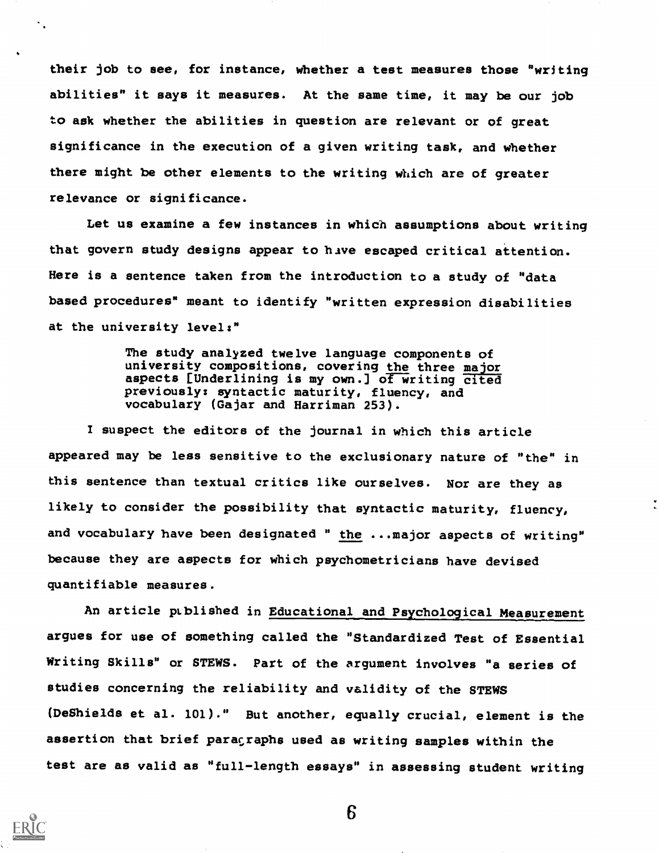their job to see, for instance, whether a test measures those "writing abilities" it says it measures. At the same time, it may be our job to ask whether the abilities in question are relevant or of great significance in the execution of a given writing task, and whether there might be other elements to the writing which are of greater relevance or significance.

Let us examine a few instances in which assumptions about writing that govern study designs appear to have escaped critical attention. Here is a sentence taken from the introduction to a study of "data based procedures" meant to identify "written expression disabilities at the university levels"

> The study analyzed twelve language components of university compositions, covering the three major aspects [Underlining is my own.] of writing cited previously: syntactic maturity, fluency, and vocabulary (Gajar and Harriman 253).

I suspect the editors of the journal in which this article appeared may be less sensitive to the exclusionary nature of "the" in this sentence than textual critics like ourselves. Nor are they as likely to consider the possibility that syntactic maturity, fluency, and vocabulary have been designated " the ...major aspects of writing" because fhey are aspects for which psydhometricians have devised quantifiable measures.

An article published in Educational and Psychological Measurement argues for use of something called the "Standardized Test of Essential Writing Skills" or STEWS. Part of the argument involves "a series of studies concerning the reliability and validity of the STEWS (DeShields et al. 101)." But another, equally crucial, element is the assertion that brief paragraphs used as writing samples within the test are as valid as "full-length essays" in assessing student writing

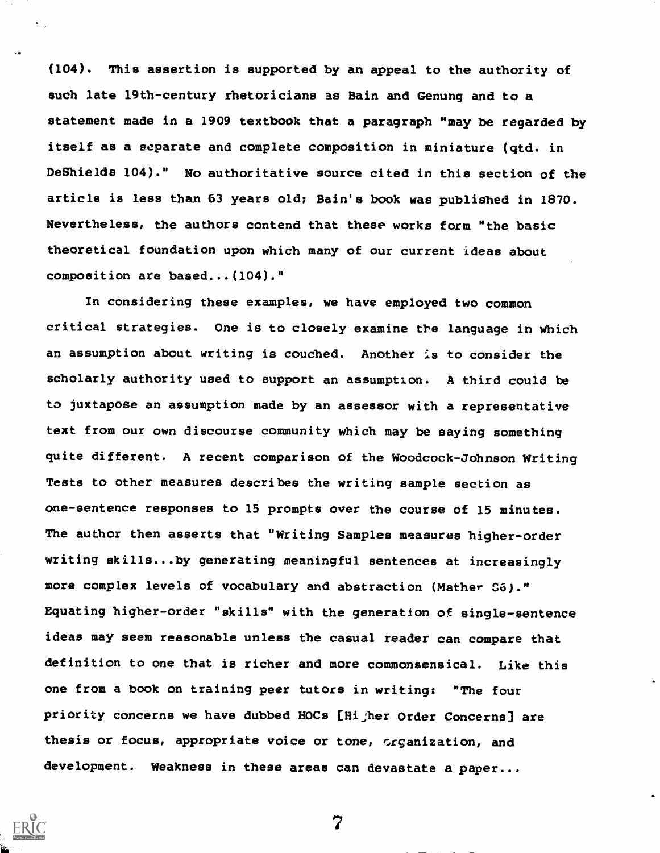(104). This assertion is supported by an appeal to the authority of such late 19th-century fhetoricians as Bain and Genung and to a statement made in a 1909 textbook that a paragraph "may be regarded by itself as a separate and complete composition in miniature (qtd. in DeShields 104)." No authoritative source cited in this section of the article is less than 63 years old; Bain's book was published in 1870. Nevertheless, the authors contend that these works form "the basic theoretical foundation upon which many of our current ideas about composition are based...(104)."

In considering these examples, we have employed two common critical strategies. One is to closely examine the language in which an assumption about writing is couched. Another is to consider the scholarly authority used to support an assumption. A third could be to juxtapose an assumption made by an assessor with a representative text from our own discourse community which may be saying something quite different. A recent comparison of the Woodcock-Johnson Writing Tests to other measures describes the writing sample section as one-sentence responses to 15 prompts over the course of 15 minutes. The author then asserts that "Writing Samples measures higher-order writing skills...by generating meaningful sentences at increasingly more complex levels of vocabulary and abstraction (Mather C6)." Equating higher-order "skills" with the generation of single-sentence ideas may seem reasonable unless the casual reader can compare that definition to one that is richer and more commonsensical. Like this one from a book on training peer tutors in writing: "The four priority concerns we have dubbed HOCs [Hijher Order Concerns] are thesis or focus, appropriate voice or tone, crganization, and development. Weakness in these areas can devastate a paper...

**ERIC**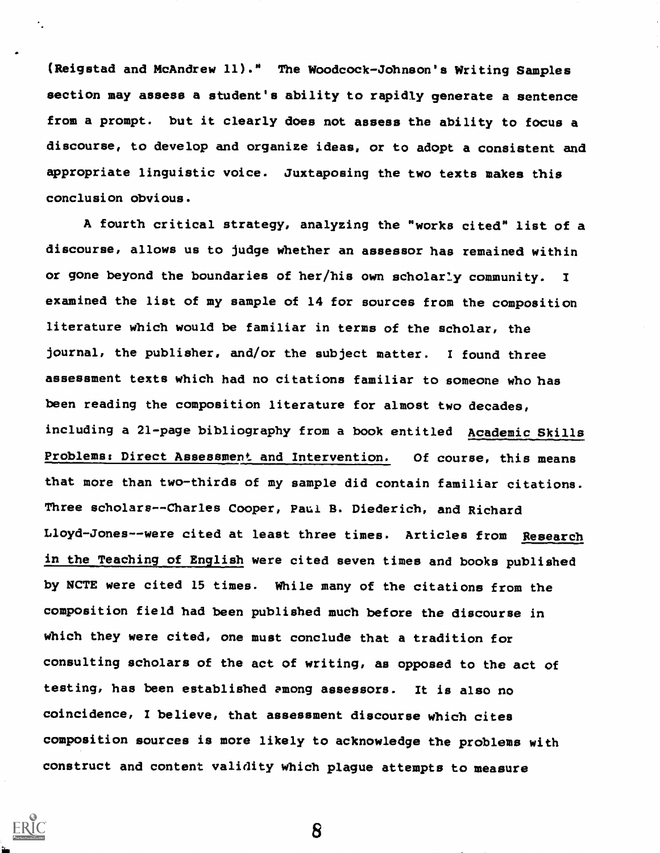(Reigstad and McAndrew 11)." The Woodcock-Johnson's Writing Samples section may assess a student's ability to rapidly generate a sentence from a prompt. but it clearly does not assess the ability to focus a discourse, to develop and organize ideas, or to adopt a consistent and appropriate linguistic voice. Juxtaposing the two texts makes this conclusion obvious.

A fourth critical strategy, analyzing the "works cited" list of a discourse, allows us to judge Whether an assessor has remained within or gone beyond the boundaries of her/his own scholarly community. I examined the list of my sample of 14 for sources from the composition literature which would be familiar in terms of the scholar, the journal, the publisher, and/or the subject matter. I found three assessment texts which had no citations familiar to someone who has been reading the composition literature for almost two decades, including a 21-page bibliography from a book entitled Academic Skills Problems: Direct Assessment and Intervention. Of course, this means that more than two-thirds of my sample did contain familiar citations. Three scholars--Charles Cooper, Paul B. Diederich, and Richard Lloyd-Jones--were cited at least three times. Articles from Research in the Teaching of English were cited seven times and books published by NCTE were cited 15 times. While many of the citations from the composition field had been published much before the discourse in Which they were cited, one must conclude that a tradition for consulting scholars of the act of writing, as opposed to the act of testing, has been established among assessors. It is also no coincidence, I believe, that assessment discourse which cites composition sources is more likely to acknowledge the problems with construct and content validity which plague attempts to measure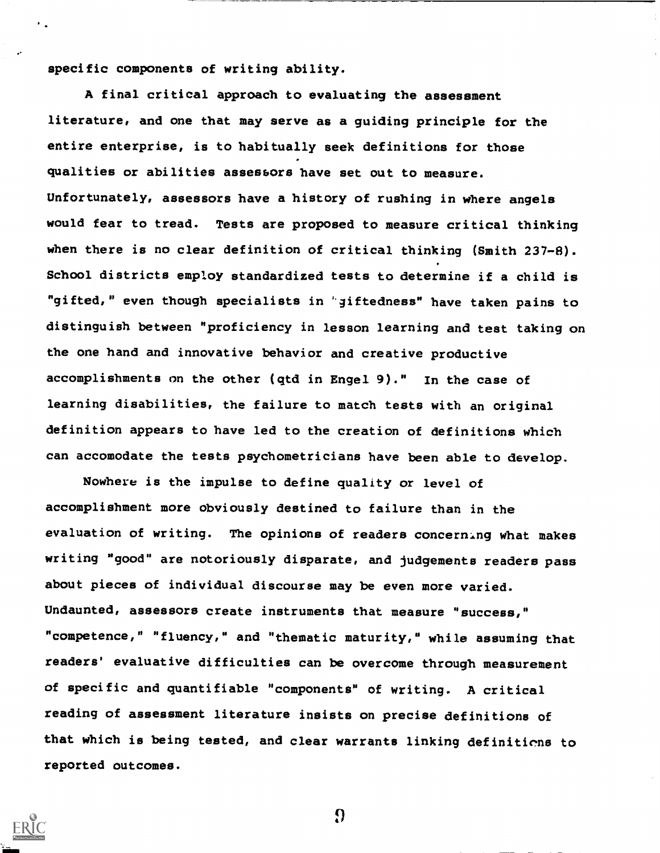specific components of writing ability.

A final critical approach to evaluating the assessment literature, and one that may serve as a guiding principle for the entire enterprise, is to habitually seek definitions for those qualities or abilities assessors have set out to measure. Unfortunately, assessors have a history of rushing in where angels would fear to tread. Tests are proposed to measure critical thinking when there is no clear definition of critical thinking (Smith 237-8). School districts employ standardized tests to determine if a child is "gifted," even though specialists in 'giftedness" have taken pains to distinguish between "proficiency in lesson learning and test taking on the one hand and innovative behavior and creative productive accomplishments on the other (qtd in Engel 9)." In the case of learning disabilities, the failure to match tests with an original definition appears to have led to the creation of definitions Which can accomodate the tests psychometricians have been able to develop.

NoWhere is the impulse to define quality or level of accomplishment more obviously destined to failure than in the evaluation of writing. The opinions of readers concerning what makes writing "good" are notoriously disparate, and judgements readers pass about pieces of individual discourse may be even more varied. Undaunted, assessors create instruments that measure "success," competence," "fluency," and "thematic maturity," while assuming that readers' evaluative difficulties can be overcome through measurement of specific and quantifiable "components" of writing. A critical reading of assessment literature insists on precise definitions of that which is being tested, and clear warrants linking definitions to reported outcomes.

 $\Omega$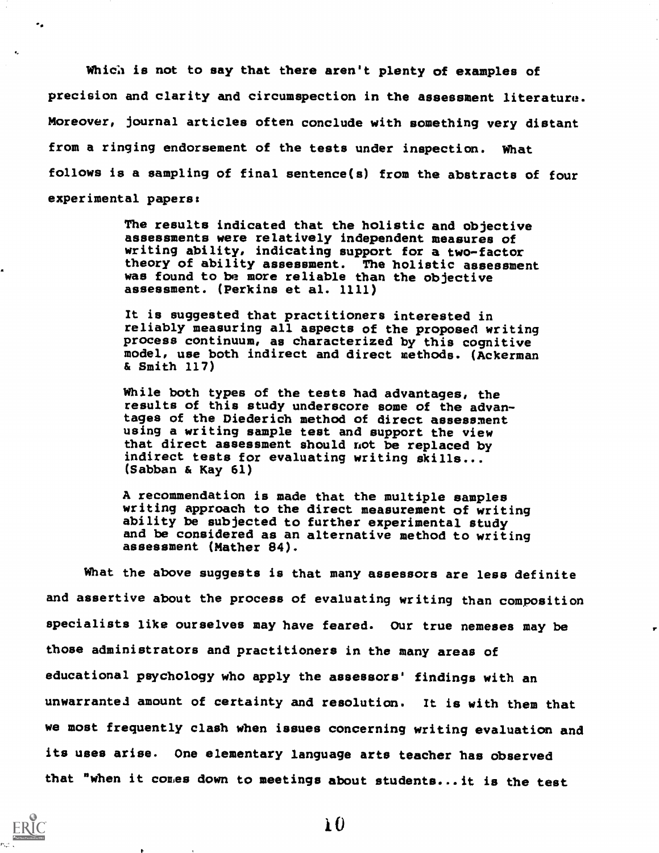Which is not to say that there aren't plenty of examples of precision and clarity and circumspection in the assessment literature. Moreover, journal articles often conclude with something very distant from a ringing endorsement of the tests under inspection. What follows is a sampling of final sentence(s) from the abstracts of four experimental papers:

> The results indicated that the holistic and objective assessments were relatively independent measures of writing ability, indicating support for a two-factor theory of ability assessment. The holistic assessment was found to be more reliable than the objective assessment. (Perkins et al. 1111)

> It is suggested that practitioners interested in reliably measuring all aspects of the proposed writing process continuum, as characterized by this cognitive model, use both indirect and direct methods. (Ackerman & Smith 117)

While both types of the tests had advantages, the results of this study underscore some of the advantages of the Diederich method of direct assessment using a writing sample test and support the view that direct assessment ehould not be replaced by indirect tests for evaluating writing skills... (Sabban & Kay 61)

A recommendation is made that the multiple samples writing approach to the direct measurement of writing ability be subjected to further experimental study and be considered as an alternative method to writing assessment (Mather 84).

What the above suggests is that many assessors are less definite and assertive about the process of evaluating writing than composition specialists like ourselves may have feared. Our true nemeses may be those administrators and practitioners in the many areas of educational psychology who apply the assessors' findings with an unwarrante3 amount of certainty and resolution. It is with them that we most frequently claeh When issues concerning writing evaluation and its uses arise. One elementary language arts teacher has observed that "when it comes down to meetings about students...it is the test

 $\bf{10}$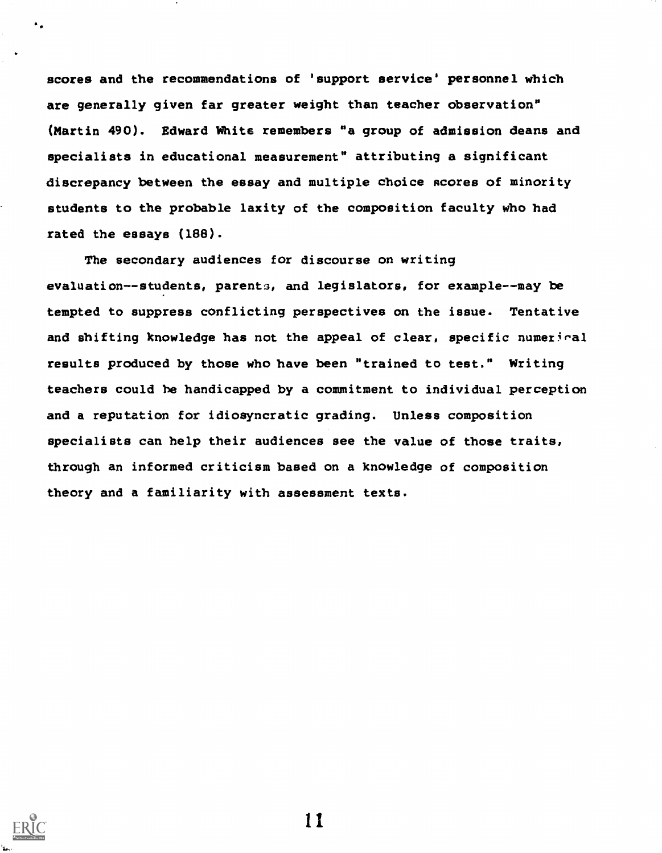scores and the recommendations of 'support service' personnel which are generally given far greater weight than teacher observation" (Martin 490). Edward White remembers "a group of admission deans and specialists in educational measurement" attributing a significant discrepancy between the essay and multiple choice scores of minority students to the probable laxity of the composition faculty who had rated the essays (188).

The secondary audiences for discourse on writing evaluation--students, parents, and legislators, for example--may be tempted to suppress conflicting perspectives on the issue. Tentative and shifting knowledge has not the appeal of clear, specific numerical results produced by those who have been "trained to test." Writing teachers could be handicapped by a commitment to individual percepticm and a reputation for idiosyncratic grading. Unless composition specialists can help their audiences see the value of those traits, through an informed criticism based on a knowledge of composition theory and a familiarity with assessment texts.



 $\bullet$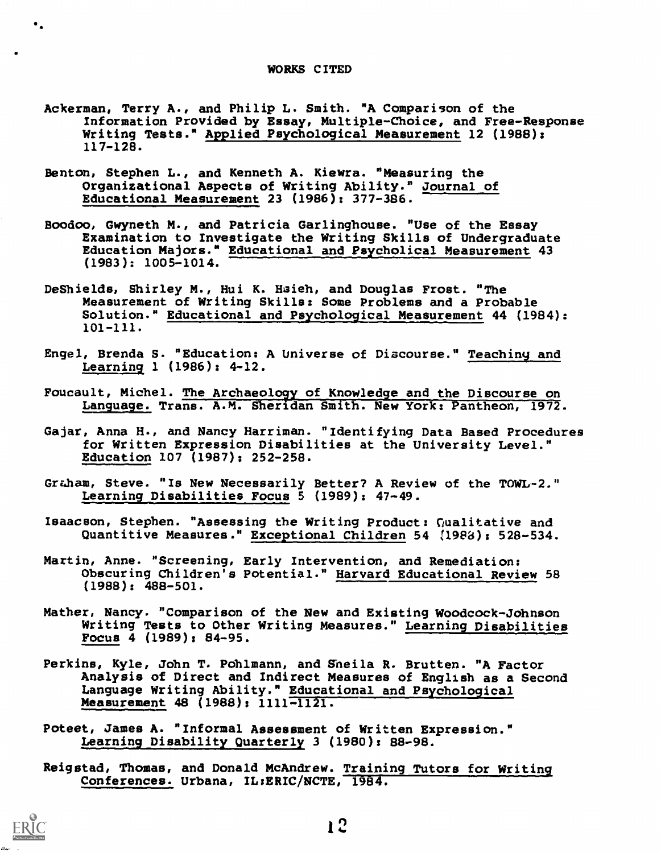#### WORKS CITED

- Ackerman, Terry A., and Philip L. Smith. "A Comparison of the Information Provided by Essay, Multiple-Choice, and Free-Response Writing Tests." Applied Psychological Measurement 12 (1988): 117-128.
- Benton, Steghen L., and Kenneth A. Kiewra. "Measuring the Organizational Aspects of Wtiting Ability." Journal of Educational Measurement 23 (1986): 377-386.
- Boodoo, Gwyneth M., and Patricia Garlingbouse. "Use of the Essay Examination to Investigate the Writing Skills of Undergraduate Education Majors." Educational and Psycholical Measurement 43 (1983): 1005-1014.
- DeShields, Shirley M., Hui K. Hsieh, and Douglas Frost. "The Measurement of Writing Skills: Some Problems and a Probable Solution." Educational and Psychological Measurement 44 (1984): 101-111.
- Engel, Brenda S. "Education: A Universe of Discourse." Teaching and Learning 1 (1986): 4-12.
- Foucault, Michel. The Archaeoloyy of Knowledge and the Discourse on Language. Trans. A.M. Sheridan Smith. New York: Pantheon, 1972.
- Gajar, Anna H., and Nancy Harriman. "Identifying Data Based Procedures for Written Expression Disabilities at the University Level." Education 107 (1987): 252-258.
- Graham, Steve. "Is New Necessarily Better? A Review of the TOWL-2." Learning Disabilities Focus 5 (1989): 47-49.
- Isaacson, Stephen. "Assessing the Wtiting Product: Cualitative and Quantitive Measures." Exceptional Children 54 (1988): 528-534.
- Martin, Anne. "Screening, Early Intervention, and Remediation: Obscuring Children's Potential." Harvard Educational Review 58 (1988): 488-501.
- Mather, Nancy. "Comparison of the New and Existing Woodcock-Johnson Writing Tests to Other Writing Measures." Learning Disabilities Focus 4 (1989): 84-95.
- Perkins, Kyle, John T. Pohlmann, and Sheila R. Brutten. "A Factor Analysis of Direct and Indirect Measures of English as a Second Language Writing Ability." Educational and Psychological Measurement 48 (1988): 1111-1121.
- Poteet, James A. "Informal Assessment of Written Expression." Learning Disability Quarterly 3 (1980): 88-98.
- Reigstad, Thomas, and Donald McAndrew. Training Tutors for Writing Conferences. Urbana, IL:ERIC/NCTE, 1984.



 $\bullet$